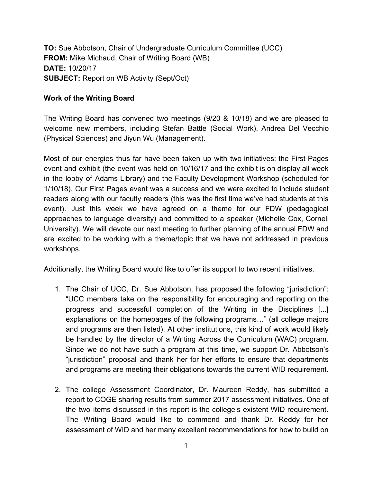**TO:** Sue Abbotson, Chair of Undergraduate Curriculum Committee (UCC) **FROM:** Mike Michaud, Chair of Writing Board (WB) **DATE:** 10/20/17 **SUBJECT:** Report on WB Activity (Sept/Oct)

## **Work of the Writing Board**

The Writing Board has convened two meetings (9/20 & 10/18) and we are pleased to welcome new members, including Stefan Battle (Social Work), Andrea Del Vecchio (Physical Sciences) and Jiyun Wu (Management).

Most of our energies thus far have been taken up with two initiatives: the First Pages event and exhibit (the event was held on 10/16/17 and the exhibit is on display all week in the lobby of Adams Library) and the Faculty Development Workshop (scheduled for 1/10/18). Our First Pages event was a success and we were excited to include student readers along with our faculty readers (this was the first time we've had students at this event). Just this week we have agreed on a theme for our FDW (pedagogical approaches to language diversity) and committed to a speaker (Michelle Cox, Cornell University). We will devote our next meeting to further planning of the annual FDW and are excited to be working with a theme/topic that we have not addressed in previous workshops.

Additionally, the Writing Board would like to offer its support to two recent initiatives.

- 1. The Chair of UCC, Dr. Sue Abbotson, has proposed the following "jurisdiction": "UCC members take on the responsibility for encouraging and reporting on the progress and successful completion of the Writing in the Disciplines [...] explanations on the homepages of the following programs…" (all college majors and programs are then listed). At other institutions, this kind of work would likely be handled by the director of a Writing Across the Curriculum (WAC) program. Since we do not have such a program at this time, we support Dr. Abbotson's "jurisdiction" proposal and thank her for her efforts to ensure that departments and programs are meeting their obligations towards the current WID requirement.
- 2. The college Assessment Coordinator, Dr. Maureen Reddy, has submitted a report to COGE sharing results from summer 2017 assessment initiatives. One of the two items discussed in this report is the college's existent WID requirement. The Writing Board would like to commend and thank Dr. Reddy for her assessment of WID and her many excellent recommendations for how to build on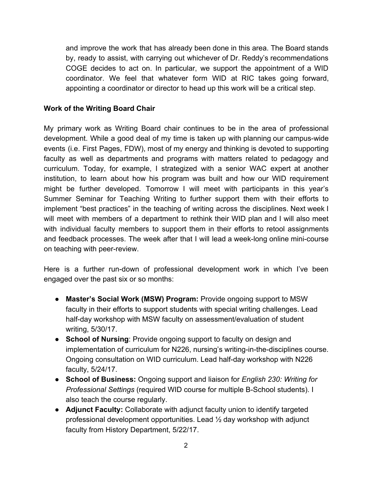and improve the work that has already been done in this area. The Board stands by, ready to assist, with carrying out whichever of Dr. Reddy's recommendations COGE decides to act on. In particular, we support the appointment of a WID coordinator. We feel that whatever form WID at RIC takes going forward, appointing a coordinator or director to head up this work will be a critical step.

## **Work of the Writing Board Chair**

My primary work as Writing Board chair continues to be in the area of professional development. While a good deal of my time is taken up with planning our campus-wide events (i.e. First Pages, FDW), most of my energy and thinking is devoted to supporting faculty as well as departments and programs with matters related to pedagogy and curriculum. Today, for example, I strategized with a senior WAC expert at another institution, to learn about how his program was built and how our WID requirement might be further developed. Tomorrow I will meet with participants in this year's Summer Seminar for Teaching Writing to further support them with their efforts to implement "best practices" in the teaching of writing across the disciplines. Next week I will meet with members of a department to rethink their WID plan and I will also meet with individual faculty members to support them in their efforts to retool assignments and feedback processes. The week after that I will lead a week-long online mini-course on teaching with peer-review.

Here is a further run-down of professional development work in which I've been engaged over the past six or so months:

- **Master's Social Work (MSW) Program:** Provide ongoing support to MSW faculty in their efforts to support students with special writing challenges. Lead half-day workshop with MSW faculty on assessment/evaluation of student writing, 5/30/17.
- **School of Nursing**: Provide ongoing support to faculty on design and implementation of curriculum for N226, nursing's writing-in-the-disciplines course. Ongoing consultation on WID curriculum. Lead half-day workshop with N226 faculty, 5/24/17.
- **School of Business:** Ongoing support and liaison for *English 230: Writing for Professional Settings* (required WID course for multiple B-School students). I also teach the course regularly.
- **Adjunct Faculty:** Collaborate with adjunct faculty union to identify targeted professional development opportunities. Lead ½ day workshop with adjunct faculty from History Department, 5/22/17.